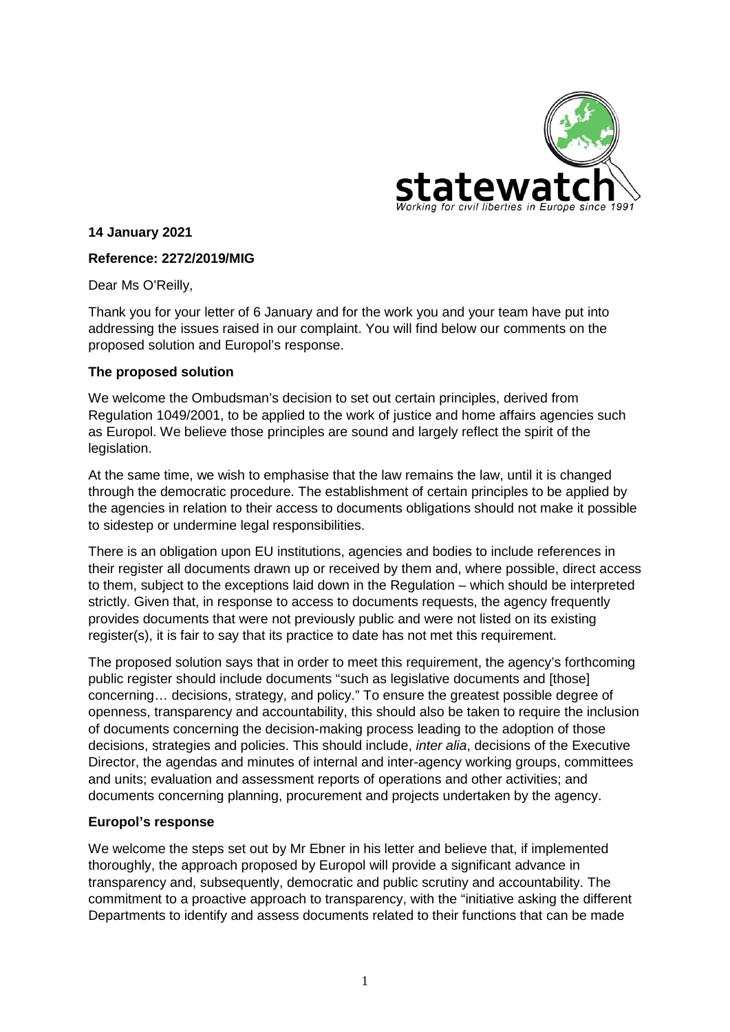

**14 January 2021**

## **Reference: 2272/2019/MIG**

Dear Ms O'Reilly,

Thank you for your letter of 6 January and for the work you and your team have put into addressing the issues raised in our complaint. You will find below our comments on the proposed solution and Europol's response.

## **The proposed solution**

We welcome the Ombudsman's decision to set out certain principles, derived from Regulation 1049/2001, to be applied to the work of justice and home affairs agencies such as Europol. We believe those principles are sound and largely reflect the spirit of the legislation.

At the same time, we wish to emphasise that the law remains the law, until it is changed through the democratic procedure. The establishment of certain principles to be applied by the agencies in relation to their access to documents obligations should not make it possible to sidestep or undermine legal responsibilities.

There is an obligation upon EU institutions, agencies and bodies to include references in their register all documents drawn up or received by them and, where possible, direct access to them, subject to the exceptions laid down in the Regulation – which should be interpreted strictly. Given that, in response to access to documents requests, the agency frequently provides documents that were not previously public and were not listed on its existing register(s), it is fair to say that its practice to date has not met this requirement.

The proposed solution says that in order to meet this requirement, the agency's forthcoming public register should include documents "such as legislative documents and [those] concerning… decisions, strategy, and policy." To ensure the greatest possible degree of openness, transparency and accountability, this should also be taken to require the inclusion of documents concerning the decision-making process leading to the adoption of those decisions, strategies and policies. This should include, *inter alia*, decisions of the Executive Director, the agendas and minutes of internal and inter-agency working groups, committees and units; evaluation and assessment reports of operations and other activities; and documents concerning planning, procurement and projects undertaken by the agency.

## **Europol's response**

We welcome the steps set out by Mr Ebner in his letter and believe that, if implemented thoroughly, the approach proposed by Europol will provide a significant advance in transparency and, subsequently, democratic and public scrutiny and accountability. The commitment to a proactive approach to transparency, with the "initiative asking the different Departments to identify and assess documents related to their functions that can be made